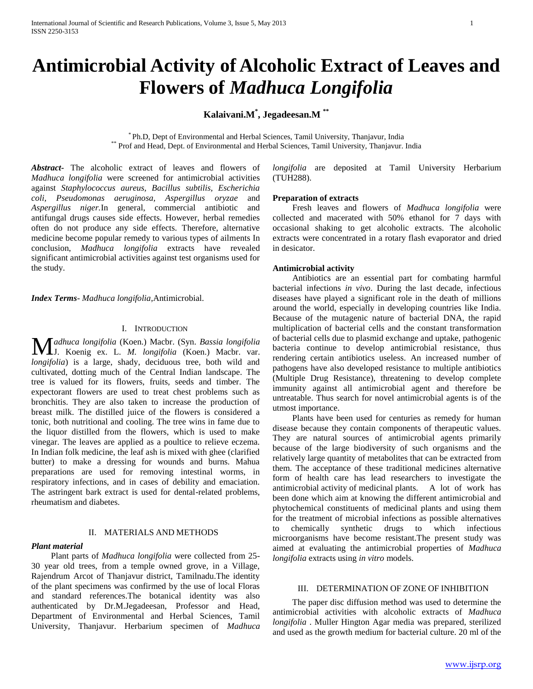# **Antimicrobial Activity of Alcoholic Extract of Leaves and Flowers of** *Madhuca Longifolia*

### **Kalaivani.M\* , Jegadeesan.M \*\***

\* Ph.D, Dept of Environmental and Herbal Sciences, Tamil University, Thanjavur, India \*\* Prof and Head, Dept. of Environmental and Herbal Sciences, Tamil University, Thanjavur. India

*Abstract***-** The alcoholic extract of leaves and flowers of *Madhuca longifolia* were screened for antimicrobial activities against *Staphylococcus aureus, Bacillus subtilis, Escherichia coli, Pseudomonas aeruginosa, Aspergillus oryzae* and *Aspergillus niger.*In general, commercial antibiotic and antifungal drugs causes side effects. However, herbal remedies often do not produce any side effects. Therefore, alternative medicine become popular remedy to various types of ailments In conclusion, *Madhuca longifolia* extracts have revealed significant antimicrobial activities against test organisms used for the study.

*Index Terms*- *Madhuca longifolia*,Antimicrobial.

#### I. INTRODUCTION

*adhuca longifolia* (Koen.) Macbr. (Syn. *Bassia longifolia* Madhuca longifolia (Koen.) Macbr. (Syn. Bassia longifolia<br>J. Koenig ex. L. *M. longifolia* (Koen.) Macbr. var. *longifolia*) is a large, shady, deciduous tree, both wild and cultivated, dotting much of the Central Indian landscape. The tree is valued for its flowers, fruits, seeds and timber. The expectorant flowers are used to treat chest problems such as bronchitis. They are also taken to increase the production of breast milk. The distilled juice of the flowers is considered a tonic, both nutritional and cooling. The tree wins in fame due to the liquor distilled from the flowers, which is used to make vinegar. The leaves are applied as a poultice to relieve eczema. In Indian folk medicine, the leaf ash is mixed with ghee (clarified butter) to make a dressing for wounds and burns. Mahua preparations are used for removing intestinal worms, in respiratory infections, and in cases of debility and emaciation. The astringent bark extract is used for dental-related problems, rheumatism and diabetes.

#### II. MATERIALS AND METHODS

#### *Plant material*

 Plant parts of *Madhuca longifolia* were collected from 25- 30 year old trees, from a temple owned grove, in a Village, Rajendrum Arcot of Thanjavur district, Tamilnadu.The identity of the plant specimens was confirmed by the use of local Floras and standard references.The botanical identity was also authenticated by Dr.M.Jegadeesan, Professor and Head, Department of Environmental and Herbal Sciences, Tamil University, Thanjavur. Herbarium specimen of *Madhuca* *longifolia* are deposited at Tamil University Herbarium (TUH288).

#### **Preparation of extracts**

 Fresh leaves and flowers of *Madhuca longifolia* were collected and macerated with 50% ethanol for 7 days with occasional shaking to get alcoholic extracts. The alcoholic extracts were concentrated in a rotary flash evaporator and dried in desicator.

#### **Antimicrobial activity**

 Antibiotics are an essential part for combating harmful bacterial infections *in vivo*. During the last decade, infectious diseases have played a significant role in the death of millions around the world, especially in developing countries like India. Because of the mutagenic nature of bacterial DNA, the rapid multiplication of bacterial cells and the constant transformation of bacterial cells due to plasmid exchange and uptake, pathogenic bacteria continue to develop antimicrobial resistance, thus rendering certain antibiotics useless. An increased number of pathogens have also developed resistance to multiple antibiotics (Multiple Drug Resistance), threatening to develop complete immunity against all antimicrobial agent and therefore be untreatable. Thus search for novel antimicrobial agents is of the utmost importance.

 Plants have been used for centuries as remedy for human disease because they contain components of therapeutic values. They are natural sources of antimicrobial agents primarily because of the large biodiversity of such organisms and the relatively large quantity of metabolites that can be extracted from them. The acceptance of these traditional medicines alternative form of health care has lead researchers to investigate the antimicrobial activity of medicinal plants. A lot of work has been done which aim at knowing the different antimicrobial and phytochemical constituents of medicinal plants and using them for the treatment of microbial infections as possible alternatives to chemically synthetic drugs to which infectious microorganisms have become resistant.The present study was aimed at evaluating the antimicrobial properties of *Madhuca longifolia* extracts using *in vitro* models.

#### III. DETERMINATION OF ZONE OF INHIBITION

 The paper disc diffusion method was used to determine the antimicrobial activities with alcoholic extracts of *Madhuca longifolia* . Muller Hington Agar media was prepared, sterilized and used as the growth medium for bacterial culture. 20 ml of the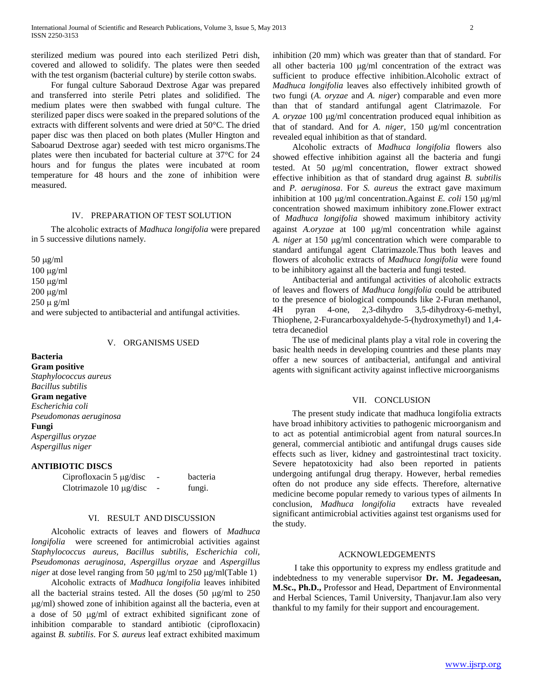sterilized medium was poured into each sterilized Petri dish, covered and allowed to solidify. The plates were then seeded with the test organism (bacterial culture) by sterile cotton swabs.

 For fungal culture Saboraud Dextrose Agar was prepared and transferred into sterile Petri plates and solidified. The medium plates were then swabbed with fungal culture. The sterilized paper discs were soaked in the prepared solutions of the extracts with different solvents and were dried at 50°C. The dried paper disc was then placed on both plates (Muller Hington and Saboarud Dextrose agar) seeded with test micro organisms.The plates were then incubated for bacterial culture at 37°C for 24 hours and for fungus the plates were incubated at room temperature for 48 hours and the zone of inhibition were measured.

#### IV. PREPARATION OF TEST SOLUTION

 The alcoholic extracts of *Madhuca longifolia* were prepared in 5 successive dilutions namely.

 $50 \mu g/ml$  $100 \mu g/ml$  $150 \mu g/ml$  $200 \mu g/ml$  $250 \mu g/ml$ and were subjected to antibacterial and antifungal activities.

#### V. ORGANISMS USED

**Bacteria Gram positive** *Staphylococcus aureus Bacillus subtilis* **Gram negative** *Escherichia coli Pseudomonas aeruginosa* **Fungi** *Aspergillus oryzae Aspergillus niger*

#### **ANTIBIOTIC DISCS**

Ciprofloxacin 5 µg/disc - bacteria Clotrimazole  $10 \mu\text{g/disc}$  - fungi.

## VI. RESULT AND DISCUSSION

 Alcoholic extracts of leaves and flowers of *Madhuca longifolia* were screened for antimicrobial activities against *Staphylococcus aureus, Bacillus subtilis, Escherichia coli, Pseudomonas aeruginosa, Aspergillus oryzae* and *Aspergillus niger* at dose level ranging from 50  $\mu$ g/ml to 250  $\mu$ g/ml(Table 1)

 Alcoholic extracts of *Madhuca longifolia* leaves inhibited all the bacterial strains tested. All the doses  $(50 \text{ µg/ml to } 250$ g/ml) showed zone of inhibition against all the bacteria, even at a dose of 50 µg/ml of extract exhibited significant zone of inhibition comparable to standard antibiotic (ciprofloxacin) against *B. subtilis*. For *S. aureus* leaf extract exhibited maximum inhibition (20 mm) which was greater than that of standard. For all other bacteria  $100 \text{ µg/ml concentration of the extract was}$ sufficient to produce effective inhibition.Alcoholic extract of *Madhuca longifolia* leaves also effectively inhibited growth of two fungi (*A. oryzae* and *A. niger*) comparable and even more than that of standard antifungal agent Clatrimazole. For A. *oryzae* 100  $\mu$ g/ml concentration produced equal inhibition as that of standard. And for *A. niger*, 150  $\mu$ g/ml concentration revealed equal inhibition as that of standard.

 Alcoholic extracts of *Madhuca longifolia* flowers also showed effective inhibition against all the bacteria and fungi tested. At 50 µg/ml concentration, flower extract showed effective inhibition as that of standard drug against *B. subtilis* and *P. aeruginosa*. For *S. aureus* the extract gave maximum inhibition at 100  $\mu$ g/ml concentration.Against *E. coli* 150  $\mu$ g/ml concentration showed maximum inhibitory zone.Flower extract of *Madhuca longifolia* showed maximum inhibitory activity against *A.oryzae* at 100 µg/ml concentration while against A. niger at 150 µg/ml concentration which were comparable to standard antifungal agent Clatrimazole.Thus both leaves and flowers of alcoholic extracts of *Madhuca longifolia* were found to be inhibitory against all the bacteria and fungi tested.

 Antibacterial and antifungal activities of alcoholic extracts of leaves and flowers of *Madhuca longifolia* could be attributed to the presence of biological compounds like 2-Furan methanol, 4H pyran 4-one, 2,3-dihydro 3,5-dihydroxy-6-methyl, Thiophene, 2-Furancarboxyaldehyde-5-(hydroxymethyl) and 1,4 tetra decanediol

 The use of medicinal plants play a vital role in covering the basic health needs in developing countries and these plants may offer a new sources of antibacterial, antifungal and antiviral agents with significant activity against inflective microorganisms

#### VII. CONCLUSION

 The present study indicate that madhuca longifolia extracts have broad inhibitory activities to pathogenic microorganism and to act as potential antimicrobial agent from natural sources.In general, commercial antibiotic and antifungal drugs causes side effects such as liver, kidney and gastrointestinal tract toxicity. Severe hepatotoxicity had also been reported in patients undergoing antifungal drug therapy. However, herbal remedies often do not produce any side effects. Therefore, alternative medicine become popular remedy to various types of ailments In conclusion, *Madhuca longifolia* extracts have revealed significant antimicrobial activities against test organisms used for the study.

#### ACKNOWLEDGEMENTS

 I take this opportunity to express my endless gratitude and indebtedness to my venerable supervisor **Dr. M. Jegadeesan, M.Sc., Ph.D.,** Professor and Head, Department of Environmental and Herbal Sciences, Tamil University, Thanjavur.Iam also very thankful to my family for their support and encouragement.